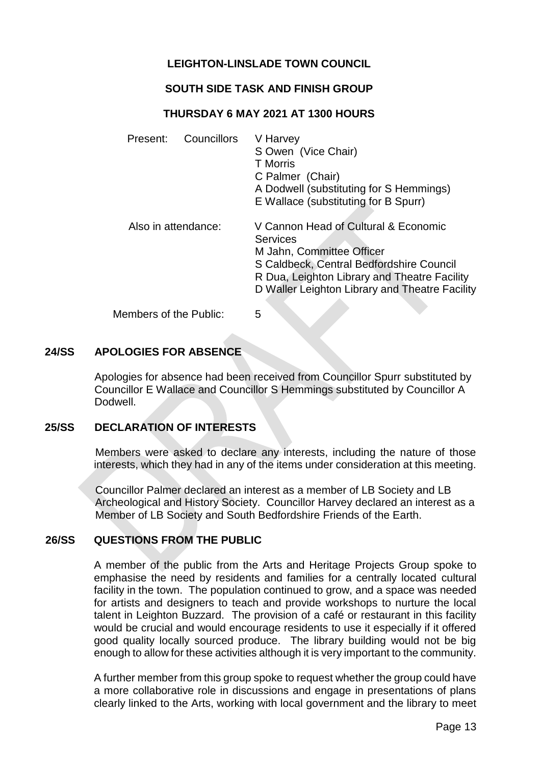# **LEIGHTON-LINSLADE TOWN COUNCIL**

## **SOUTH SIDE TASK AND FINISH GROUP**

### **THURSDAY 6 MAY 2021 AT 1300 HOURS**

| Councillors<br>Present: | V Harvey<br>S Owen (Vice Chair)<br><b>T</b> Morris<br>C Palmer (Chair)<br>A Dodwell (substituting for S Hemmings)<br>E Wallace (substituting for B Spurr)                                                                          |
|-------------------------|------------------------------------------------------------------------------------------------------------------------------------------------------------------------------------------------------------------------------------|
| Also in attendance:     | V Cannon Head of Cultural & Economic<br><b>Services</b><br>M Jahn, Committee Officer<br>S Caldbeck, Central Bedfordshire Council<br>R Dua, Leighton Library and Theatre Facility<br>D Waller Leighton Library and Theatre Facility |
| Members of the Public:  | 5                                                                                                                                                                                                                                  |

### **24/SS APOLOGIES FOR ABSENCE**

Apologies for absence had been received from Councillor Spurr substituted by Councillor E Wallace and Councillor S Hemmings substituted by Councillor A Dodwell.

# **25/SS DECLARATION OF INTERESTS**

Members were asked to declare any interests, including the nature of those interests, which they had in any of the items under consideration at this meeting.

 Councillor Palmer declared an interest as a member of LB Society and LB Archeological and History Society. Councillor Harvey declared an interest as a Member of LB Society and South Bedfordshire Friends of the Earth.

#### **26/SS QUESTIONS FROM THE PUBLIC**

A member of the public from the Arts and Heritage Projects Group spoke to emphasise the need by residents and families for a centrally located cultural facility in the town. The population continued to grow, and a space was needed for artists and designers to teach and provide workshops to nurture the local talent in Leighton Buzzard. The provision of a café or restaurant in this facility would be crucial and would encourage residents to use it especially if it offered good quality locally sourced produce. The library building would not be big enough to allow for these activities although it is very important to the community.

A further member from this group spoke to request whether the group could have a more collaborative role in discussions and engage in presentations of plans clearly linked to the Arts, working with local government and the library to meet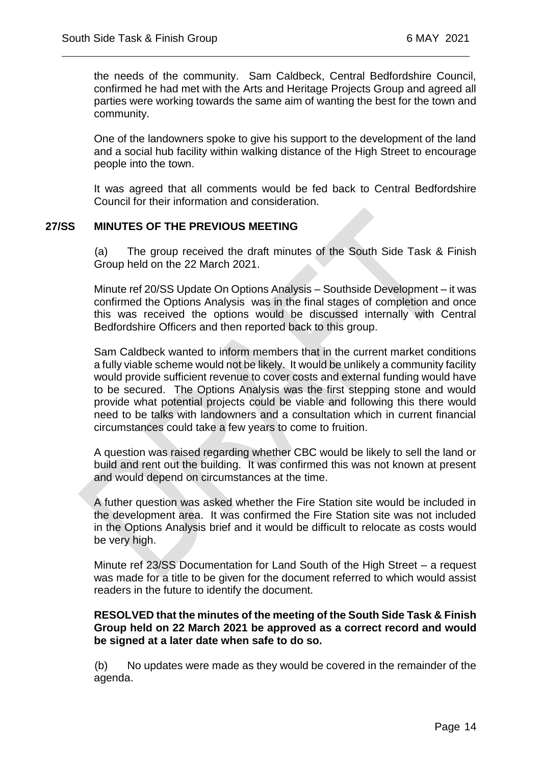the needs of the community. Sam Caldbeck, Central Bedfordshire Council, confirmed he had met with the Arts and Heritage Projects Group and agreed all parties were working towards the same aim of wanting the best for the town and community.

 $\overline{a}$ 

One of the landowners spoke to give his support to the development of the land and a social hub facility within walking distance of the High Street to encourage people into the town.

It was agreed that all comments would be fed back to Central Bedfordshire Council for their information and consideration.

### **27/SS MINUTES OF THE PREVIOUS MEETING**

(a) The group received the draft minutes of the South Side Task & Finish Group held on the 22 March 2021.

Minute ref 20/SS Update On Options Analysis – Southside Development – it was confirmed the Options Analysis was in the final stages of completion and once this was received the options would be discussed internally with Central Bedfordshire Officers and then reported back to this group.

Sam Caldbeck wanted to inform members that in the current market conditions a fully viable scheme would not be likely. It would be unlikely a community facility would provide sufficient revenue to cover costs and external funding would have to be secured. The Options Analysis was the first stepping stone and would provide what potential projects could be viable and following this there would need to be talks with landowners and a consultation which in current financial circumstances could take a few years to come to fruition.

A question was raised regarding whether CBC would be likely to sell the land or build and rent out the building. It was confirmed this was not known at present and would depend on circumstances at the time.

A futher question was asked whether the Fire Station site would be included in the development area. It was confirmed the Fire Station site was not included in the Options Analysis brief and it would be difficult to relocate as costs would be very high.

Minute ref 23/SS Documentation for Land South of the High Street – a request was made for a title to be given for the document referred to which would assist readers in the future to identify the document.

### **RESOLVED that the minutes of the meeting of the South Side Task & Finish Group held on 22 March 2021 be approved as a correct record and would be signed at a later date when safe to do so.**

(b) No updates were made as they would be covered in the remainder of the agenda.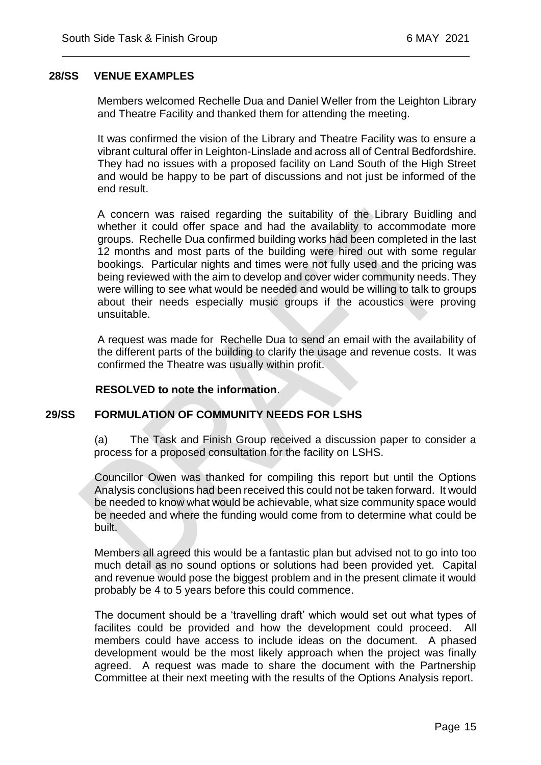## **28/SS VENUE EXAMPLES**

Members welcomed Rechelle Dua and Daniel Weller from the Leighton Library and Theatre Facility and thanked them for attending the meeting.

 $\overline{a}$ 

It was confirmed the vision of the Library and Theatre Facility was to ensure a vibrant cultural offer in Leighton-Linslade and across all of Central Bedfordshire. They had no issues with a proposed facility on Land South of the High Street and would be happy to be part of discussions and not just be informed of the end result.

A concern was raised regarding the suitability of the Library Buidling and whether it could offer space and had the availablity to accommodate more groups. Rechelle Dua confirmed building works had been completed in the last 12 months and most parts of the building were hired out with some regular bookings. Particular nights and times were not fully used and the pricing was being reviewed with the aim to develop and cover wider community needs. They were willing to see what would be needed and would be willing to talk to groups about their needs especially music groups if the acoustics were proving unsuitable.

A request was made for Rechelle Dua to send an email with the availability of the different parts of the building to clarify the usage and revenue costs. It was confirmed the Theatre was usually within profit.

#### **RESOLVED to note the information**.

## **29/SS FORMULATION OF COMMUNITY NEEDS FOR LSHS**

(a) The Task and Finish Group received a discussion paper to consider a process for a proposed consultation for the facility on LSHS.

Councillor Owen was thanked for compiling this report but until the Options Analysis conclusions had been received this could not be taken forward. It would be needed to know what would be achievable, what size community space would be needed and where the funding would come from to determine what could be built.

Members all agreed this would be a fantastic plan but advised not to go into too much detail as no sound options or solutions had been provided yet. Capital and revenue would pose the biggest problem and in the present climate it would probably be 4 to 5 years before this could commence.

The document should be a 'travelling draft' which would set out what types of facilites could be provided and how the development could proceed. All members could have access to include ideas on the document. A phased development would be the most likely approach when the project was finally agreed. A request was made to share the document with the Partnership Committee at their next meeting with the results of the Options Analysis report.